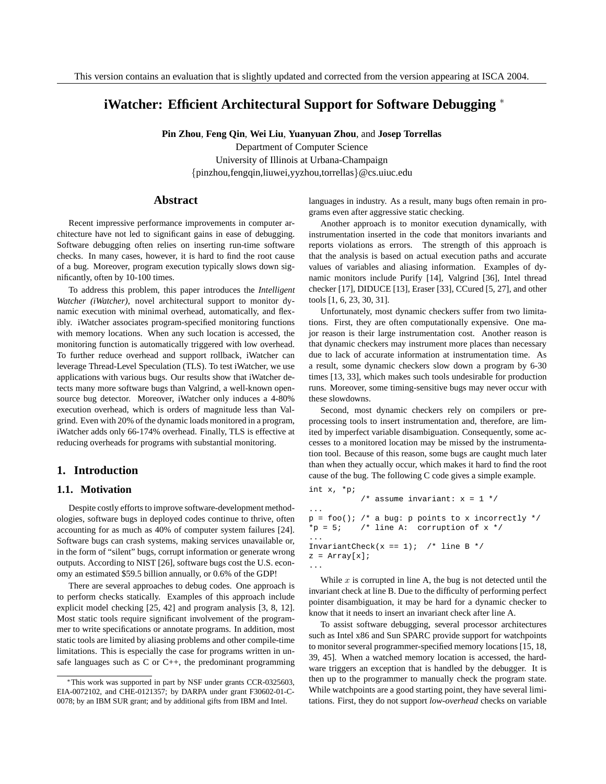# **iWatcher: Efficient Architectural Support for Software Debugging** <sup>∗</sup>

**Pin Zhou**, **Feng Qin**, **Wei Liu**, **Yuanyuan Zhou**, and **Josep Torrellas**

Department of Computer Science University of Illinois at Urbana-Champaign {pinzhou,fengqin,liuwei,yyzhou,torrellas}@cs.uiuc.edu

### **Abstract**

Recent impressive performance improvements in computer architecture have not led to significant gains in ease of debugging. Software debugging often relies on inserting run-time software checks. In many cases, however, it is hard to find the root cause of a bug. Moreover, program execution typically slows down significantly, often by 10-100 times.

To address this problem, this paper introduces the *Intelligent Watcher (iWatcher)*, novel architectural support to monitor dynamic execution with minimal overhead, automatically, and flexibly. iWatcher associates program-specified monitoring functions with memory locations. When any such location is accessed, the monitoring function is automatically triggered with low overhead. To further reduce overhead and support rollback, iWatcher can leverage Thread-Level Speculation (TLS). To test iWatcher, we use applications with various bugs. Our results show that iWatcher detects many more software bugs than Valgrind, a well-known opensource bug detector. Moreover, iWatcher only induces a 4-80% execution overhead, which is orders of magnitude less than Valgrind. Even with 20% of the dynamic loads monitored in a program, iWatcher adds only 66-174% overhead. Finally, TLS is effective at reducing overheads for programs with substantial monitoring.

# **1. Introduction**

### **1.1. Motivation**

Despite costly efforts to improve software-development methodologies, software bugs in deployed codes continue to thrive, often accounting for as much as 40% of computer system failures [24]. Software bugs can crash systems, making services unavailable or, in the form of "silent" bugs, corrupt information or generate wrong outputs. According to NIST [26], software bugs cost the U.S. economy an estimated \$59.5 billion annually, or 0.6% of the GDP!

There are several approaches to debug codes. One approach is to perform checks statically. Examples of this approach include explicit model checking [25, 42] and program analysis [3, 8, 12]. Most static tools require significant involvement of the programmer to write specifications or annotate programs. In addition, most static tools are limited by aliasing problems and other compile-time limitations. This is especially the case for programs written in unsafe languages such as  $C$  or  $C++$ , the predominant programming languages in industry. As a result, many bugs often remain in programs even after aggressive static checking.

Another approach is to monitor execution dynamically, with instrumentation inserted in the code that monitors invariants and reports violations as errors. The strength of this approach is that the analysis is based on actual execution paths and accurate values of variables and aliasing information. Examples of dynamic monitors include Purify [14], Valgrind [36], Intel thread checker [17], DIDUCE [13], Eraser [33], CCured [5, 27], and other tools [1, 6, 23, 30, 31].

Unfortunately, most dynamic checkers suffer from two limitations. First, they are often computationally expensive. One major reason is their large instrumentation cost. Another reason is that dynamic checkers may instrument more places than necessary due to lack of accurate information at instrumentation time. As a result, some dynamic checkers slow down a program by 6-30 times [13, 33], which makes such tools undesirable for production runs. Moreover, some timing-sensitive bugs may never occur with these slowdowns.

Second, most dynamic checkers rely on compilers or preprocessing tools to insert instrumentation and, therefore, are limited by imperfect variable disambiguation. Consequently, some accesses to a monitored location may be missed by the instrumentation tool. Because of this reason, some bugs are caught much later than when they actually occur, which makes it hard to find the root cause of the bug. The following C code gives a simple example.

```
int x, *p;
           /* assume invariant: x = 1 */
...
p = foo(); /* a bug: p points to x incorrectly */
*p = 5; /* line A: corruption of x */
...
InvariantCheck(x == 1); /* line B */
z = \text{Array}[x];...
```
While  $x$  is corrupted in line A, the bug is not detected until the invariant check at line B. Due to the difficulty of performing perfect pointer disambiguation, it may be hard for a dynamic checker to know that it needs to insert an invariant check after line A.

To assist software debugging, several processor architectures such as Intel x86 and Sun SPARC provide support for watchpoints to monitor several programmer-specified memory locations [15, 18, 39, 45]. When a watched memory location is accessed, the hardware triggers an exception that is handled by the debugger. It is then up to the programmer to manually check the program state. While watchpoints are a good starting point, they have several limitations. First, they do not support *low-overhead* checks on variable

<sup>∗</sup>This work was supported in part by NSF under grants CCR-0325603, EIA-0072102, and CHE-0121357; by DARPA under grant F30602-01-C-0078; by an IBM SUR grant; and by additional gifts from IBM and Intel.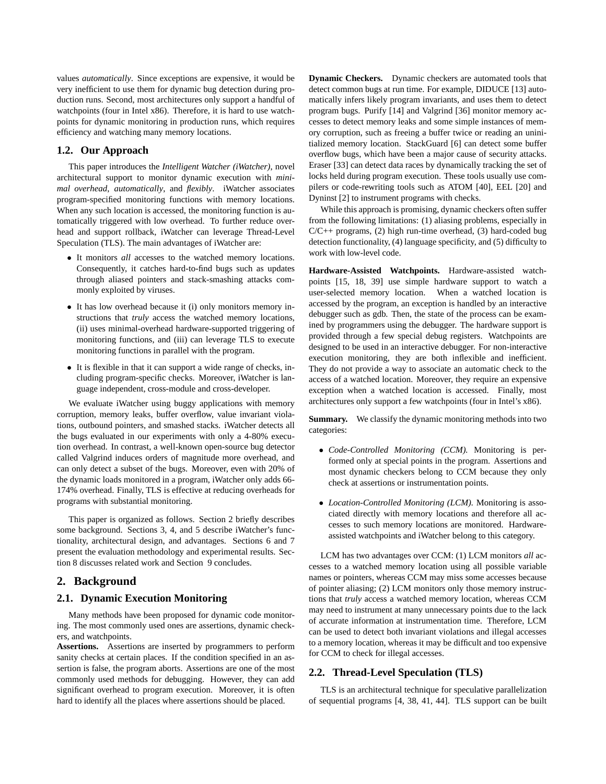values *automatically*. Since exceptions are expensive, it would be very inefficient to use them for dynamic bug detection during production runs. Second, most architectures only support a handful of watchpoints (four in Intel x86). Therefore, it is hard to use watchpoints for dynamic monitoring in production runs, which requires efficiency and watching many memory locations.

### **1.2. Our Approach**

This paper introduces the *Intelligent Watcher (iWatcher)*, novel architectural support to monitor dynamic execution with *minimal overhead*, *automatically*, and *flexibly*. iWatcher associates program-specified monitoring functions with memory locations. When any such location is accessed, the monitoring function is automatically triggered with low overhead. To further reduce overhead and support rollback, iWatcher can leverage Thread-Level Speculation (TLS). The main advantages of iWatcher are:

- It monitors *all* accesses to the watched memory locations. Consequently, it catches hard-to-find bugs such as updates through aliased pointers and stack-smashing attacks commonly exploited by viruses.
- It has low overhead because it (i) only monitors memory instructions that *truly* access the watched memory locations, (ii) uses minimal-overhead hardware-supported triggering of monitoring functions, and (iii) can leverage TLS to execute monitoring functions in parallel with the program.
- It is flexible in that it can support a wide range of checks, including program-specific checks. Moreover, iWatcher is language independent, cross-module and cross-developer.

We evaluate iWatcher using buggy applications with memory corruption, memory leaks, buffer overflow, value invariant violations, outbound pointers, and smashed stacks. iWatcher detects all the bugs evaluated in our experiments with only a 4-80% execution overhead. In contrast, a well-known open-source bug detector called Valgrind induces orders of magnitude more overhead, and can only detect a subset of the bugs. Moreover, even with 20% of the dynamic loads monitored in a program, iWatcher only adds 66- 174% overhead. Finally, TLS is effective at reducing overheads for programs with substantial monitoring.

This paper is organized as follows. Section 2 briefly describes some background. Sections 3, 4, and 5 describe iWatcher's functionality, architectural design, and advantages. Sections 6 and 7 present the evaluation methodology and experimental results. Section 8 discusses related work and Section 9 concludes.

# **2. Background**

### **2.1. Dynamic Execution Monitoring**

Many methods have been proposed for dynamic code monitoring. The most commonly used ones are assertions, dynamic checkers, and watchpoints.

**Assertions.** Assertions are inserted by programmers to perform sanity checks at certain places. If the condition specified in an assertion is false, the program aborts. Assertions are one of the most commonly used methods for debugging. However, they can add significant overhead to program execution. Moreover, it is often hard to identify all the places where assertions should be placed.

**Dynamic Checkers.** Dynamic checkers are automated tools that detect common bugs at run time. For example, DIDUCE [13] automatically infers likely program invariants, and uses them to detect program bugs. Purify [14] and Valgrind [36] monitor memory accesses to detect memory leaks and some simple instances of memory corruption, such as freeing a buffer twice or reading an uninitialized memory location. StackGuard [6] can detect some buffer overflow bugs, which have been a major cause of security attacks. Eraser [33] can detect data races by dynamically tracking the set of locks held during program execution. These tools usually use compilers or code-rewriting tools such as ATOM [40], EEL [20] and Dyninst [2] to instrument programs with checks.

While this approach is promising, dynamic checkers often suffer from the following limitations: (1) aliasing problems, especially in  $C/C++$  programs, (2) high run-time overhead, (3) hard-coded bug detection functionality, (4) language specificity, and (5) difficulty to work with low-level code.

**Hardware-Assisted Watchpoints.** Hardware-assisted watchpoints [15, 18, 39] use simple hardware support to watch a user-selected memory location. When a watched location is accessed by the program, an exception is handled by an interactive debugger such as gdb. Then, the state of the process can be examined by programmers using the debugger. The hardware support is provided through a few special debug registers. Watchpoints are designed to be used in an interactive debugger. For non-interactive execution monitoring, they are both inflexible and inefficient. They do not provide a way to associate an automatic check to the access of a watched location. Moreover, they require an expensive exception when a watched location is accessed. Finally, most architectures only support a few watchpoints (four in Intel's x86).

**Summary.** We classify the dynamic monitoring methods into two categories:

- *Code-Controlled Monitoring (CCM).* Monitoring is performed only at special points in the program. Assertions and most dynamic checkers belong to CCM because they only check at assertions or instrumentation points.
- *Location-Controlled Monitoring (LCM).* Monitoring is associated directly with memory locations and therefore all accesses to such memory locations are monitored. Hardwareassisted watchpoints and iWatcher belong to this category.

LCM has two advantages over CCM: (1) LCM monitors *all* accesses to a watched memory location using all possible variable names or pointers, whereas CCM may miss some accesses because of pointer aliasing; (2) LCM monitors only those memory instructions that *truly* access a watched memory location, whereas CCM may need to instrument at many unnecessary points due to the lack of accurate information at instrumentation time. Therefore, LCM can be used to detect both invariant violations and illegal accesses to a memory location, whereas it may be difficult and too expensive for CCM to check for illegal accesses.

### **2.2. Thread-Level Speculation (TLS)**

TLS is an architectural technique for speculative parallelization of sequential programs [4, 38, 41, 44]. TLS support can be built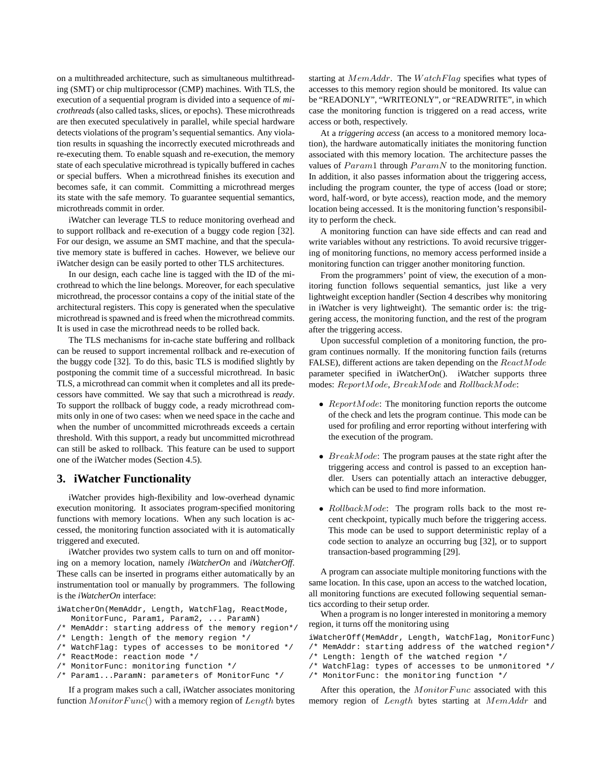on a multithreaded architecture, such as simultaneous multithreading (SMT) or chip multiprocessor (CMP) machines. With TLS, the execution of a sequential program is divided into a sequence of *microthreads* (also called tasks, slices, or epochs). These microthreads are then executed speculatively in parallel, while special hardware detects violations of the program's sequential semantics. Any violation results in squashing the incorrectly executed microthreads and re-executing them. To enable squash and re-execution, the memory state of each speculative microthread is typically buffered in caches or special buffers. When a microthread finishes its execution and becomes safe, it can commit. Committing a microthread merges its state with the safe memory. To guarantee sequential semantics, microthreads commit in order.

iWatcher can leverage TLS to reduce monitoring overhead and to support rollback and re-execution of a buggy code region [32]. For our design, we assume an SMT machine, and that the speculative memory state is buffered in caches. However, we believe our iWatcher design can be easily ported to other TLS architectures.

In our design, each cache line is tagged with the ID of the microthread to which the line belongs. Moreover, for each speculative microthread, the processor contains a copy of the initial state of the architectural registers. This copy is generated when the speculative microthread is spawned and is freed when the microthread commits. It is used in case the microthread needs to be rolled back.

The TLS mechanisms for in-cache state buffering and rollback can be reused to support incremental rollback and re-execution of the buggy code [32]. To do this, basic TLS is modified slightly by postponing the commit time of a successful microthread. In basic TLS, a microthread can commit when it completes and all its predecessors have committed. We say that such a microthread is *ready*. To support the rollback of buggy code, a ready microthread commits only in one of two cases: when we need space in the cache and when the number of uncommitted microthreads exceeds a certain threshold. With this support, a ready but uncommitted microthread can still be asked to rollback. This feature can be used to support one of the iWatcher modes (Section 4.5).

### **3. iWatcher Functionality**

iWatcher provides high-flexibility and low-overhead dynamic execution monitoring. It associates program-specified monitoring functions with memory locations. When any such location is accessed, the monitoring function associated with it is automatically triggered and executed.

iWatcher provides two system calls to turn on and off monitoring on a memory location, namely *iWatcherOn* and *iWatcherOff*. These calls can be inserted in programs either automatically by an instrumentation tool or manually by programmers. The following is the *iWatcherOn* interface:

iWatcherOn(MemAddr, Length, WatchFlag, ReactMode,

- MonitorFunc, Param1, Param2, ... ParamN)
- /\* MemAddr: starting address of the memory region\*/
- /\* Length: length of the memory region \*/
- /\* WatchFlag: types of accesses to be monitored \*/
- /\* ReactMode: reaction mode \*/
- /\* MonitorFunc: monitoring function \*/ /\* Param1...ParamN: parameters of MonitorFunc \*/

If a program makes such a call, iWatcher associates monitoring function  $MonitorFunc()$  with a memory region of  $Length$  bytes starting at  $MemAddr$ . The  $WatchFlag$  specifies what types of accesses to this memory region should be monitored. Its value can be "READONLY", "WRITEONLY", or "READWRITE", in which case the monitoring function is triggered on a read access, write access or both, respectively.

At a *triggering access* (an access to a monitored memory location), the hardware automatically initiates the monitoring function associated with this memory location. The architecture passes the values of  $Param1$  through  $ParamN$  to the monitoring function. In addition, it also passes information about the triggering access, including the program counter, the type of access (load or store; word, half-word, or byte access), reaction mode, and the memory location being accessed. It is the monitoring function's responsibility to perform the check.

A monitoring function can have side effects and can read and write variables without any restrictions. To avoid recursive triggering of monitoring functions, no memory access performed inside a monitoring function can trigger another monitoring function.

From the programmers' point of view, the execution of a monitoring function follows sequential semantics, just like a very lightweight exception handler (Section 4 describes why monitoring in iWatcher is very lightweight). The semantic order is: the triggering access, the monitoring function, and the rest of the program after the triggering access.

Upon successful completion of a monitoring function, the program continues normally. If the monitoring function fails (returns FALSE), different actions are taken depending on the  $ReachMode$ parameter specified in iWatcherOn(). iWatcher supports three modes: ReportMode, BreakMode and RollbackMode:

- Report  $Mode$ : The monitoring function reports the outcome of the check and lets the program continue. This mode can be used for profiling and error reporting without interfering with the execution of the program.
- $BreakMode$ : The program pauses at the state right after the triggering access and control is passed to an exception handler. Users can potentially attach an interactive debugger, which can be used to find more information.
- RollbackMode: The program rolls back to the most recent checkpoint, typically much before the triggering access. This mode can be used to support deterministic replay of a code section to analyze an occurring bug [32], or to support transaction-based programming [29].

A program can associate multiple monitoring functions with the same location. In this case, upon an access to the watched location, all monitoring functions are executed following sequential semantics according to their setup order.

When a program is no longer interested in monitoring a memory region, it turns off the monitoring using

iWatcherOff(MemAddr, Length, WatchFlag, MonitorFunc) /\* MemAddr: starting address of the watched region\*/

- /\* Length: length of the watched region \*/
- /\* WatchFlag: types of accesses to be unmonitored \*/
- /\* MonitorFunc: the monitoring function \*/

After this operation, the  $MonitorFunc$  associated with this memory region of Length bytes starting at MemAddr and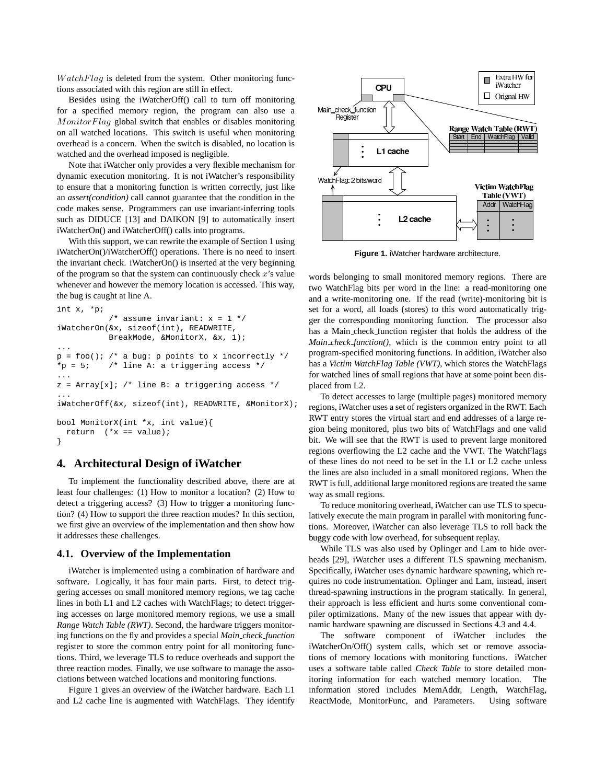$WatchFlag$  is deleted from the system. Other monitoring functions associated with this region are still in effect.

Besides using the iWatcherOff() call to turn off monitoring for a specified memory region, the program can also use a  $MonitorFlag$  global switch that enables or disables monitoring on all watched locations. This switch is useful when monitoring overhead is a concern. When the switch is disabled, no location is watched and the overhead imposed is negligible.

Note that iWatcher only provides a very flexible mechanism for dynamic execution monitoring. It is not iWatcher's responsibility to ensure that a monitoring function is written correctly, just like an *assert(condition)* call cannot guarantee that the condition in the code makes sense. Programmers can use invariant-inferring tools such as DIDUCE [13] and DAIKON [9] to automatically insert iWatcherOn() and iWatcherOff() calls into programs.

With this support, we can rewrite the example of Section 1 using iWatcherOn()/iWatcherOff() operations. There is no need to insert the invariant check. iWatcherOn() is inserted at the very beginning of the program so that the system can continuously check  $x$ 's value whenever and however the memory location is accessed. This way, the bug is caught at line A.

```
int x, *p;
           /* assume invariant: x = 1 */
iWatcherOn(&x, sizeof(int), READWRITE,
           BreakMode, &MonitorX, &x, 1);
...
p = foo(); /* a bug: p points to x incorrectly */
*p = 5; /* line A: a triggering access */
...
z = \text{Array}[x]; /* line B: a triggering access */
...
iWatcherOff(&x, sizeof(int), READWRITE, &MonitorX);
bool MonitorX(int *x, int value){
 return (*x == value);
}
```
# **4. Architectural Design of iWatcher**

To implement the functionality described above, there are at least four challenges: (1) How to monitor a location? (2) How to detect a triggering access? (3) How to trigger a monitoring function? (4) How to support the three reaction modes? In this section, we first give an overview of the implementation and then show how it addresses these challenges.

### **4.1. Overview of the Implementation**

iWatcher is implemented using a combination of hardware and software. Logically, it has four main parts. First, to detect triggering accesses on small monitored memory regions, we tag cache lines in both L1 and L2 caches with WatchFlags; to detect triggering accesses on large monitored memory regions, we use a small *Range Watch Table (RWT)*. Second, the hardware triggers monitoring functions on the fly and provides a special *Main check function* register to store the common entry point for all monitoring functions. Third, we leverage TLS to reduce overheads and support the three reaction modes. Finally, we use software to manage the associations between watched locations and monitoring functions.

Figure 1 gives an overview of the iWatcher hardware. Each L1 and L2 cache line is augmented with WatchFlags. They identify



**Figure 1.** iWatcher hardware architecture.

words belonging to small monitored memory regions. There are two WatchFlag bits per word in the line: a read-monitoring one and a write-monitoring one. If the read (write)-monitoring bit is set for a word, all loads (stores) to this word automatically trigger the corresponding monitoring function. The processor also has a Main check function register that holds the address of the *Main check function()*, which is the common entry point to all program-specified monitoring functions. In addition, iWatcher also has a *Victim WatchFlag Table (VWT)*, which stores the WatchFlags for watched lines of small regions that have at some point been displaced from L2.

To detect accesses to large (multiple pages) monitored memory regions, iWatcher uses a set of registers organized in the RWT. Each RWT entry stores the virtual start and end addresses of a large region being monitored, plus two bits of WatchFlags and one valid bit. We will see that the RWT is used to prevent large monitored regions overflowing the L2 cache and the VWT. The WatchFlags of these lines do not need to be set in the L1 or L2 cache unless the lines are also included in a small monitored regions. When the RWT is full, additional large monitored regions are treated the same way as small regions.

To reduce monitoring overhead, iWatcher can use TLS to speculatively execute the main program in parallel with monitoring functions. Moreover, iWatcher can also leverage TLS to roll back the buggy code with low overhead, for subsequent replay.

While TLS was also used by Oplinger and Lam to hide overheads [29], iWatcher uses a different TLS spawning mechanism. Specifically, iWatcher uses dynamic hardware spawning, which requires no code instrumentation. Oplinger and Lam, instead, insert thread-spawning instructions in the program statically. In general, their approach is less efficient and hurts some conventional compiler optimizations. Many of the new issues that appear with dynamic hardware spawning are discussed in Sections 4.3 and 4.4.

The software component of iWatcher includes the iWatcherOn/Off() system calls, which set or remove associations of memory locations with monitoring functions. iWatcher uses a software table called *Check Table* to store detailed monitoring information for each watched memory location. The information stored includes MemAddr, Length, WatchFlag, ReactMode, MonitorFunc, and Parameters. Using software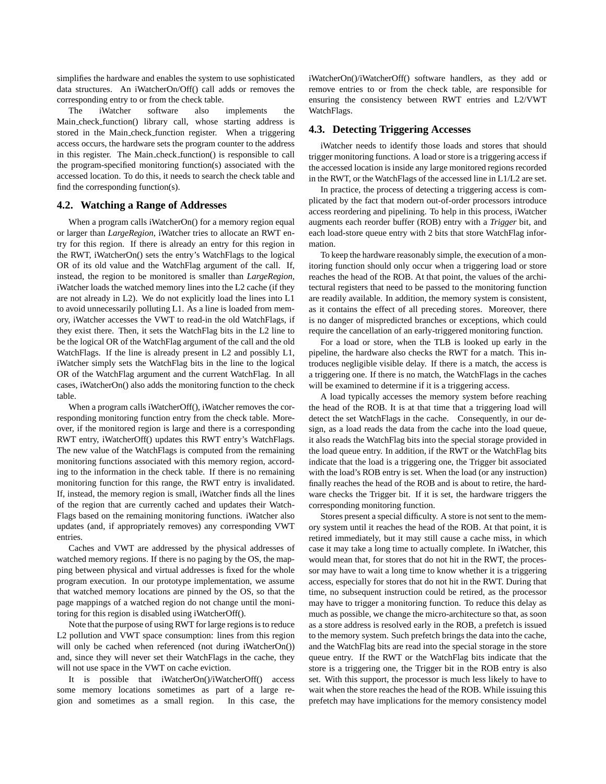simplifies the hardware and enables the system to use sophisticated data structures. An iWatcherOn/Off() call adds or removes the corresponding entry to or from the check table.

The iWatcher software also implements the Main check function() library call, whose starting address is stored in the Main check function register. When a triggering access occurs, the hardware sets the program counter to the address in this register. The Main check function() is responsible to call the program-specified monitoring function(s) associated with the accessed location. To do this, it needs to search the check table and find the corresponding function(s).

# **4.2. Watching a Range of Addresses**

When a program calls iWatcherOn() for a memory region equal or larger than *LargeRegion*, iWatcher tries to allocate an RWT entry for this region. If there is already an entry for this region in the RWT, iWatcherOn() sets the entry's WatchFlags to the logical OR of its old value and the WatchFlag argument of the call. If, instead, the region to be monitored is smaller than *LargeRegion*, iWatcher loads the watched memory lines into the L2 cache (if they are not already in L2). We do not explicitly load the lines into L1 to avoid unnecessarily polluting L1. As a line is loaded from memory, iWatcher accesses the VWT to read-in the old WatchFlags, if they exist there. Then, it sets the WatchFlag bits in the L2 line to be the logical OR of the WatchFlag argument of the call and the old WatchFlags. If the line is already present in L2 and possibly L1, iWatcher simply sets the WatchFlag bits in the line to the logical OR of the WatchFlag argument and the current WatchFlag. In all cases, iWatcherOn() also adds the monitoring function to the check table.

When a program calls iWatcherOff(), iWatcher removes the corresponding monitoring function entry from the check table. Moreover, if the monitored region is large and there is a corresponding RWT entry, iWatcherOff() updates this RWT entry's WatchFlags. The new value of the WatchFlags is computed from the remaining monitoring functions associated with this memory region, according to the information in the check table. If there is no remaining monitoring function for this range, the RWT entry is invalidated. If, instead, the memory region is small, iWatcher finds all the lines of the region that are currently cached and updates their Watch-Flags based on the remaining monitoring functions. iWatcher also updates (and, if appropriately removes) any corresponding VWT entries.

Caches and VWT are addressed by the physical addresses of watched memory regions. If there is no paging by the OS, the mapping between physical and virtual addresses is fixed for the whole program execution. In our prototype implementation, we assume that watched memory locations are pinned by the OS, so that the page mappings of a watched region do not change until the monitoring for this region is disabled using iWatcherOff().

Note that the purpose of using RWT for large regions is to reduce L2 pollution and VWT space consumption: lines from this region will only be cached when referenced (not during iWatcherOn()) and, since they will never set their WatchFlags in the cache, they will not use space in the VWT on cache eviction.

It is possible that iWatcherOn()/iWatcherOff() access some memory locations sometimes as part of a large region and sometimes as a small region. In this case, the iWatcherOn()/iWatcherOff() software handlers, as they add or remove entries to or from the check table, are responsible for ensuring the consistency between RWT entries and L2/VWT WatchFlags.

### **4.3. Detecting Triggering Accesses**

iWatcher needs to identify those loads and stores that should trigger monitoring functions. A load or store is a triggering access if the accessed location is inside any large monitored regions recorded in the RWT, or the WatchFlags of the accessed line in L1/L2 are set.

In practice, the process of detecting a triggering access is complicated by the fact that modern out-of-order processors introduce access reordering and pipelining. To help in this process, iWatcher augments each reorder buffer (ROB) entry with a *Trigger* bit, and each load-store queue entry with 2 bits that store WatchFlag information.

To keep the hardware reasonably simple, the execution of a monitoring function should only occur when a triggering load or store reaches the head of the ROB. At that point, the values of the architectural registers that need to be passed to the monitoring function are readily available. In addition, the memory system is consistent, as it contains the effect of all preceding stores. Moreover, there is no danger of mispredicted branches or exceptions, which could require the cancellation of an early-triggered monitoring function.

For a load or store, when the TLB is looked up early in the pipeline, the hardware also checks the RWT for a match. This introduces negligible visible delay. If there is a match, the access is a triggering one. If there is no match, the WatchFlags in the caches will be examined to determine if it is a triggering access.

A load typically accesses the memory system before reaching the head of the ROB. It is at that time that a triggering load will detect the set WatchFlags in the cache. Consequently, in our design, as a load reads the data from the cache into the load queue, it also reads the WatchFlag bits into the special storage provided in the load queue entry. In addition, if the RWT or the WatchFlag bits indicate that the load is a triggering one, the Trigger bit associated with the load's ROB entry is set. When the load (or any instruction) finally reaches the head of the ROB and is about to retire, the hardware checks the Trigger bit. If it is set, the hardware triggers the corresponding monitoring function.

Stores present a special difficulty. A store is not sent to the memory system until it reaches the head of the ROB. At that point, it is retired immediately, but it may still cause a cache miss, in which case it may take a long time to actually complete. In iWatcher, this would mean that, for stores that do not hit in the RWT, the processor may have to wait a long time to know whether it is a triggering access, especially for stores that do not hit in the RWT. During that time, no subsequent instruction could be retired, as the processor may have to trigger a monitoring function. To reduce this delay as much as possible, we change the micro-architecture so that, as soon as a store address is resolved early in the ROB, a prefetch is issued to the memory system. Such prefetch brings the data into the cache, and the WatchFlag bits are read into the special storage in the store queue entry. If the RWT or the WatchFlag bits indicate that the store is a triggering one, the Trigger bit in the ROB entry is also set. With this support, the processor is much less likely to have to wait when the store reaches the head of the ROB. While issuing this prefetch may have implications for the memory consistency model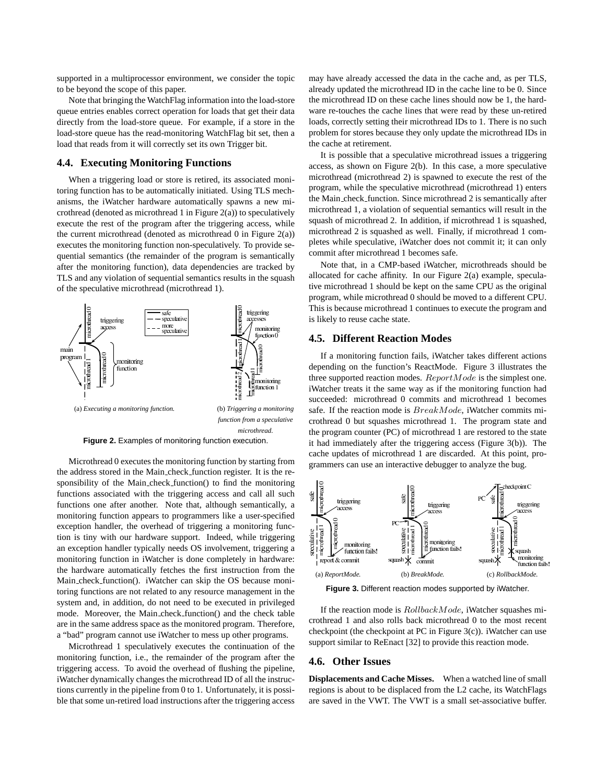supported in a multiprocessor environment, we consider the topic to be beyond the scope of this paper.

Note that bringing the WatchFlag information into the load-store queue entries enables correct operation for loads that get their data directly from the load-store queue. For example, if a store in the load-store queue has the read-monitoring WatchFlag bit set, then a load that reads from it will correctly set its own Trigger bit.

### **4.4. Executing Monitoring Functions**

When a triggering load or store is retired, its associated monitoring function has to be automatically initiated. Using TLS mechanisms, the iWatcher hardware automatically spawns a new microthread (denoted as microthread 1 in Figure 2(a)) to speculatively execute the rest of the program after the triggering access, while the current microthread (denoted as microthread 0 in Figure 2(a)) executes the monitoring function non-speculatively. To provide sequential semantics (the remainder of the program is semantically after the monitoring function), data dependencies are tracked by TLS and any violation of sequential semantics results in the squash of the speculative microthread (microthread 1).



Microthread 0 executes the monitoring function by starting from the address stored in the Main check function register. It is the responsibility of the Main check function() to find the monitoring functions associated with the triggering access and call all such functions one after another. Note that, although semantically, a monitoring function appears to programmers like a user-specified exception handler, the overhead of triggering a monitoring function is tiny with our hardware support. Indeed, while triggering an exception handler typically needs OS involvement, triggering a monitoring function in iWatcher is done completely in hardware: the hardware automatically fetches the first instruction from the Main check function(). iWatcher can skip the OS because monitoring functions are not related to any resource management in the system and, in addition, do not need to be executed in privileged mode. Moreover, the Main check function() and the check table are in the same address space as the monitored program. Therefore, a "bad" program cannot use iWatcher to mess up other programs.

Microthread 1 speculatively executes the continuation of the monitoring function, i.e., the remainder of the program after the triggering access. To avoid the overhead of flushing the pipeline, iWatcher dynamically changes the microthread ID of all the instructions currently in the pipeline from 0 to 1. Unfortunately, it is possible that some un-retired load instructions after the triggering access may have already accessed the data in the cache and, as per TLS, already updated the microthread ID in the cache line to be 0. Since the microthread ID on these cache lines should now be 1, the hardware re-touches the cache lines that were read by these un-retired loads, correctly setting their microthread IDs to 1. There is no such problem for stores because they only update the microthread IDs in the cache at retirement.

It is possible that a speculative microthread issues a triggering access, as shown on Figure 2(b). In this case, a more speculative microthread (microthread 2) is spawned to execute the rest of the program, while the speculative microthread (microthread 1) enters the Main check function. Since microthread 2 is semantically after microthread 1, a violation of sequential semantics will result in the squash of microthread 2. In addition, if microthread 1 is squashed, microthread 2 is squashed as well. Finally, if microthread 1 completes while speculative, iWatcher does not commit it; it can only commit after microthread 1 becomes safe.

Note that, in a CMP-based iWatcher, microthreads should be allocated for cache affinity. In our Figure 2(a) example, speculative microthread 1 should be kept on the same CPU as the original program, while microthread 0 should be moved to a different CPU. This is because microthread 1 continues to execute the program and is likely to reuse cache state.

#### **4.5. Different Reaction Modes**

If a monitoring function fails, iWatcher takes different actions depending on the function's ReactMode. Figure 3 illustrates the three supported reaction modes.  $ReportMode$  is the simplest one. iWatcher treats it the same way as if the monitoring function had succeeded: microthread 0 commits and microthread 1 becomes safe. If the reaction mode is  $BreakMode$ , iWatcher commits microthread 0 but squashes microthread 1. The program state and the program counter (PC) of microthread 1 are restored to the state it had immediately after the triggering access (Figure 3(b)). The cache updates of microthread 1 are discarded. At this point, programmers can use an interactive debugger to analyze the bug.



**Figure 3.** Different reaction modes supported by iWatcher.

If the reaction mode is RollbackMode, iWatcher squashes microthread 1 and also rolls back microthread 0 to the most recent checkpoint (the checkpoint at PC in Figure 3(c)). iWatcher can use support similar to ReEnact [32] to provide this reaction mode.

#### **4.6. Other Issues**

**Displacements and Cache Misses.** When a watched line of small regions is about to be displaced from the L2 cache, its WatchFlags are saved in the VWT. The VWT is a small set-associative buffer.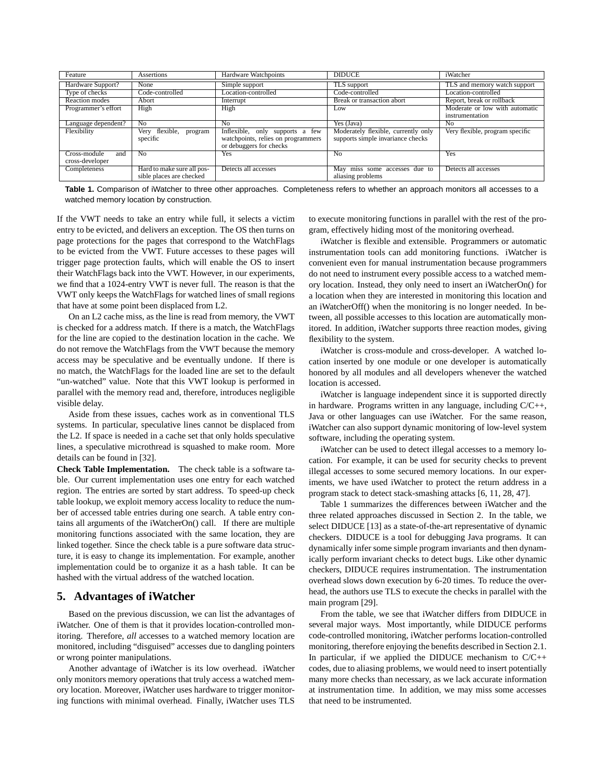| Feature                                | Assertions                                             | Hardware Watchpoints                                                                             | DIDUCE                                                                   | iWatcher                                          |
|----------------------------------------|--------------------------------------------------------|--------------------------------------------------------------------------------------------------|--------------------------------------------------------------------------|---------------------------------------------------|
| Hardware Support?                      | None                                                   | Simple support                                                                                   | <b>TLS</b> support                                                       | TLS and memory watch support                      |
| Type of checks                         | Code-controlled                                        | Location-controlled                                                                              | Code-controlled                                                          | Location-controlled                               |
| Reaction modes                         | Abort                                                  | Interrupt                                                                                        | Break or transaction abort                                               | Report, break or rollback                         |
| Programmer's effort                    | High                                                   | High                                                                                             | Low                                                                      | Moderate or low with automatic<br>instrumentation |
| Language dependent?                    | N <sub>0</sub>                                         | No.                                                                                              | Yes (Java)                                                               | No                                                |
| Flexibility                            | Very flexible,<br>program<br>specific                  | Inflexible, only supports a few<br>watchpoints, relies on programmers<br>or debuggers for checks | Moderately flexible, currently only<br>supports simple invariance checks | Very flexible, program specific                   |
| Cross-module<br>and<br>cross-developer | No.                                                    | Yes                                                                                              | No                                                                       | Yes                                               |
| Completeness                           | Hard to make sure all pos-<br>sible places are checked | Detects all accesses                                                                             | May miss some accesses due to<br>aliasing problems                       | Detects all accesses                              |

**Table 1.** Comparison of iWatcher to three other approaches. Completeness refers to whether an approach monitors all accesses to a watched memory location by construction.

If the VWT needs to take an entry while full, it selects a victim entry to be evicted, and delivers an exception. The OS then turns on page protections for the pages that correspond to the WatchFlags to be evicted from the VWT. Future accesses to these pages will trigger page protection faults, which will enable the OS to insert their WatchFlags back into the VWT. However, in our experiments, we find that a 1024-entry VWT is never full. The reason is that the VWT only keeps the WatchFlags for watched lines of small regions that have at some point been displaced from L2.

On an L2 cache miss, as the line is read from memory, the VWT is checked for a address match. If there is a match, the WatchFlags for the line are copied to the destination location in the cache. We do not remove the WatchFlags from the VWT because the memory access may be speculative and be eventually undone. If there is no match, the WatchFlags for the loaded line are set to the default "un-watched" value. Note that this VWT lookup is performed in parallel with the memory read and, therefore, introduces negligible visible delay.

Aside from these issues, caches work as in conventional TLS systems. In particular, speculative lines cannot be displaced from the L2. If space is needed in a cache set that only holds speculative lines, a speculative microthread is squashed to make room. More details can be found in [32].

**Check Table Implementation.** The check table is a software table. Our current implementation uses one entry for each watched region. The entries are sorted by start address. To speed-up check table lookup, we exploit memory access locality to reduce the number of accessed table entries during one search. A table entry contains all arguments of the iWatcherOn() call. If there are multiple monitoring functions associated with the same location, they are linked together. Since the check table is a pure software data structure, it is easy to change its implementation. For example, another implementation could be to organize it as a hash table. It can be hashed with the virtual address of the watched location.

### **5. Advantages of iWatcher**

Based on the previous discussion, we can list the advantages of iWatcher. One of them is that it provides location-controlled monitoring. Therefore, *all* accesses to a watched memory location are monitored, including "disguised" accesses due to dangling pointers or wrong pointer manipulations.

Another advantage of iWatcher is its low overhead. iWatcher only monitors memory operations that truly access a watched memory location. Moreover, iWatcher uses hardware to trigger monitoring functions with minimal overhead. Finally, iWatcher uses TLS to execute monitoring functions in parallel with the rest of the program, effectively hiding most of the monitoring overhead.

iWatcher is flexible and extensible. Programmers or automatic instrumentation tools can add monitoring functions. iWatcher is convenient even for manual instrumentation because programmers do not need to instrument every possible access to a watched memory location. Instead, they only need to insert an iWatcherOn() for a location when they are interested in monitoring this location and an iWatcherOff() when the monitoring is no longer needed. In between, all possible accesses to this location are automatically monitored. In addition, iWatcher supports three reaction modes, giving flexibility to the system.

iWatcher is cross-module and cross-developer. A watched location inserted by one module or one developer is automatically honored by all modules and all developers whenever the watched location is accessed.

iWatcher is language independent since it is supported directly in hardware. Programs written in any language, including C/C++, Java or other languages can use iWatcher. For the same reason, iWatcher can also support dynamic monitoring of low-level system software, including the operating system.

iWatcher can be used to detect illegal accesses to a memory location. For example, it can be used for security checks to prevent illegal accesses to some secured memory locations. In our experiments, we have used iWatcher to protect the return address in a program stack to detect stack-smashing attacks [6, 11, 28, 47].

Table 1 summarizes the differences between iWatcher and the three related approaches discussed in Section 2. In the table, we select DIDUCE [13] as a state-of-the-art representative of dynamic checkers. DIDUCE is a tool for debugging Java programs. It can dynamically infer some simple program invariants and then dynamically perform invariant checks to detect bugs. Like other dynamic checkers, DIDUCE requires instrumentation. The instrumentation overhead slows down execution by 6-20 times. To reduce the overhead, the authors use TLS to execute the checks in parallel with the main program [29].

From the table, we see that iWatcher differs from DIDUCE in several major ways. Most importantly, while DIDUCE performs code-controlled monitoring, iWatcher performs location-controlled monitoring, therefore enjoying the benefits described in Section 2.1. In particular, if we applied the DIDUCE mechanism to  $C/C++$ codes, due to aliasing problems, we would need to insert potentially many more checks than necessary, as we lack accurate information at instrumentation time. In addition, we may miss some accesses that need to be instrumented.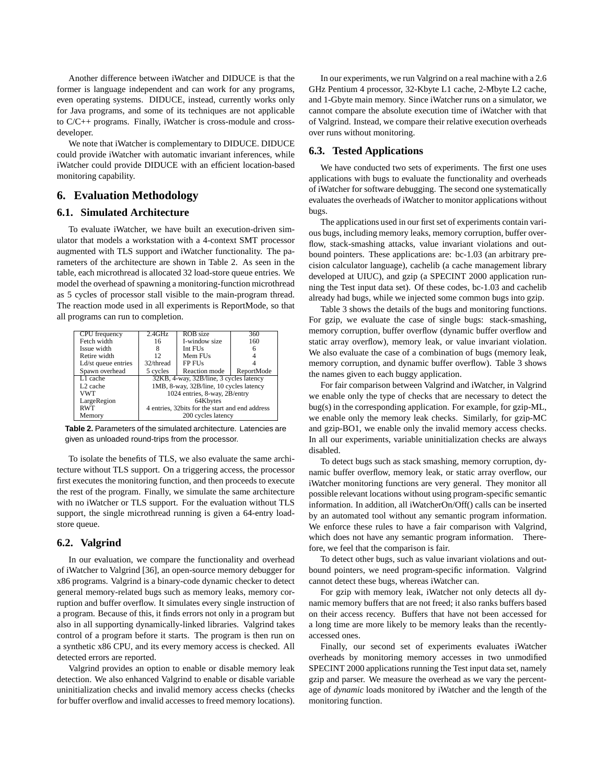Another difference between iWatcher and DIDUCE is that the former is language independent and can work for any programs, even operating systems. DIDUCE, instead, currently works only for Java programs, and some of its techniques are not applicable to C/C++ programs. Finally, iWatcher is cross-module and crossdeveloper.

We note that iWatcher is complementary to DIDUCE. DIDUCE could provide iWatcher with automatic invariant inferences, while iWatcher could provide DIDUCE with an efficient location-based monitoring capability.

# **6. Evaluation Methodology**

### **6.1. Simulated Architecture**

To evaluate iWatcher, we have built an execution-driven simulator that models a workstation with a 4-context SMT processor augmented with TLS support and iWatcher functionality. The parameters of the architecture are shown in Table 2. As seen in the table, each microthread is allocated 32 load-store queue entries. We model the overhead of spawning a monitoring-function microthread as 5 cycles of processor stall visible to the main-program thread. The reaction mode used in all experiments is ReportMode, so that all programs can run to completion.

| <b>CPU</b> frequency | $2.4$ GHz                                       | ROB size      | 360        |  |
|----------------------|-------------------------------------------------|---------------|------------|--|
| Fetch width          | 16                                              | I-window size | 160        |  |
| Issue width          |                                                 | Int FUs       |            |  |
| Retire width         | 12                                              | Mem FUs       |            |  |
| Ld/st queue entries  | 32/thread                                       | FP FUs        |            |  |
| Spawn overhead       | 5 cycles                                        | Reaction mode | ReportMode |  |
| L1 cache             | 32KB, 4-way, 32B/line, 3 cycles latency         |               |            |  |
| L <sub>2</sub> cache | 1MB, 8-way, 32B/line, 10 cycles latency         |               |            |  |
| VWT                  | 1024 entries, 8-way, 2B/entry                   |               |            |  |
| LargeRegion          | 64Kbytes                                        |               |            |  |
| <b>RWT</b>           | 4 entries, 32bits for the start and end address |               |            |  |
| Memory               | 200 cycles latency                              |               |            |  |

**Table 2.** Parameters of the simulated architecture. Latencies are given as unloaded round-trips from the processor.

To isolate the benefits of TLS, we also evaluate the same architecture without TLS support. On a triggering access, the processor first executes the monitoring function, and then proceeds to execute the rest of the program. Finally, we simulate the same architecture with no iWatcher or TLS support. For the evaluation without TLS support, the single microthread running is given a 64-entry loadstore queue.

#### **6.2. Valgrind**

In our evaluation, we compare the functionality and overhead of iWatcher to Valgrind [36], an open-source memory debugger for x86 programs. Valgrind is a binary-code dynamic checker to detect general memory-related bugs such as memory leaks, memory corruption and buffer overflow. It simulates every single instruction of a program. Because of this, it finds errors not only in a program but also in all supporting dynamically-linked libraries. Valgrind takes control of a program before it starts. The program is then run on a synthetic x86 CPU, and its every memory access is checked. All detected errors are reported.

Valgrind provides an option to enable or disable memory leak detection. We also enhanced Valgrind to enable or disable variable uninitialization checks and invalid memory access checks (checks for buffer overflow and invalid accesses to freed memory locations).

In our experiments, we run Valgrind on a real machine with a 2.6 GHz Pentium 4 processor, 32-Kbyte L1 cache, 2-Mbyte L2 cache, and 1-Gbyte main memory. Since iWatcher runs on a simulator, we cannot compare the absolute execution time of iWatcher with that of Valgrind. Instead, we compare their relative execution overheads over runs without monitoring.

### **6.3. Tested Applications**

We have conducted two sets of experiments. The first one uses applications with bugs to evaluate the functionality and overheads of iWatcher for software debugging. The second one systematically evaluates the overheads of iWatcher to monitor applications without bugs.

The applications used in our first set of experiments contain various bugs, including memory leaks, memory corruption, buffer overflow, stack-smashing attacks, value invariant violations and outbound pointers. These applications are: bc-1.03 (an arbitrary precision calculator language), cachelib (a cache management library developed at UIUC), and gzip (a SPECINT 2000 application running the Test input data set). Of these codes, bc-1.03 and cachelib already had bugs, while we injected some common bugs into gzip.

Table 3 shows the details of the bugs and monitoring functions. For gzip, we evaluate the case of single bugs: stack-smashing, memory corruption, buffer overflow (dynamic buffer overflow and static array overflow), memory leak, or value invariant violation. We also evaluate the case of a combination of bugs (memory leak, memory corruption, and dynamic buffer overflow). Table 3 shows the names given to each buggy application.

For fair comparison between Valgrind and iWatcher, in Valgrind we enable only the type of checks that are necessary to detect the bug(s) in the corresponding application. For example, for gzip-ML, we enable only the memory leak checks. Similarly, for gzip-MC and gzip-BO1, we enable only the invalid memory access checks. In all our experiments, variable uninitialization checks are always disabled.

To detect bugs such as stack smashing, memory corruption, dynamic buffer overflow, memory leak, or static array overflow, our iWatcher monitoring functions are very general. They monitor all possible relevant locations without using program-specific semantic information. In addition, all iWatcherOn/Off() calls can be inserted by an automated tool without any semantic program information. We enforce these rules to have a fair comparison with Valgrind, which does not have any semantic program information. Therefore, we feel that the comparison is fair.

To detect other bugs, such as value invariant violations and outbound pointers, we need program-specific information. Valgrind cannot detect these bugs, whereas iWatcher can.

For gzip with memory leak, iWatcher not only detects all dynamic memory buffers that are not freed; it also ranks buffers based on their access recency. Buffers that have not been accessed for a long time are more likely to be memory leaks than the recentlyaccessed ones.

Finally, our second set of experiments evaluates iWatcher overheads by monitoring memory accesses in two unmodified SPECINT 2000 applications running the Test input data set, namely gzip and parser. We measure the overhead as we vary the percentage of *dynamic* loads monitored by iWatcher and the length of the monitoring function.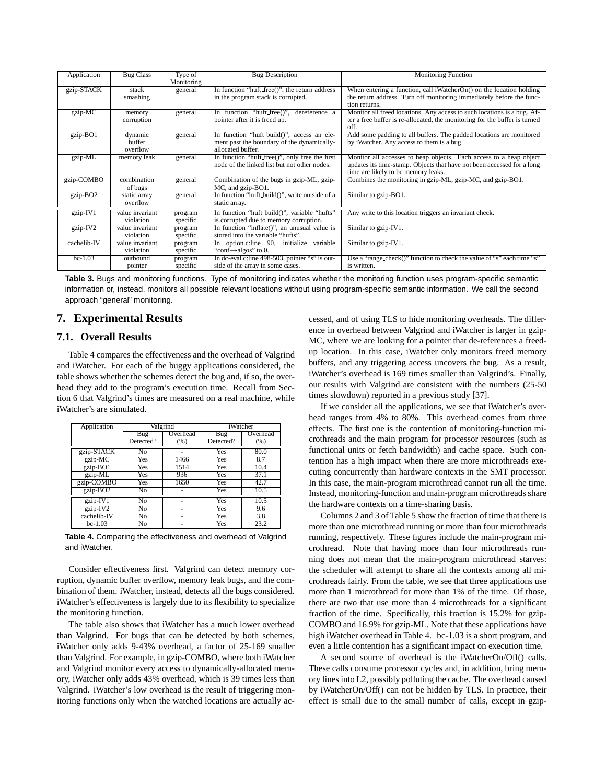| Application                 | <b>Bug Class</b>              | Type of<br>Monitoring | <b>Bug Description</b>                                                                                        | <b>Monitoring Function</b>                                                                                                                                                          |
|-----------------------------|-------------------------------|-----------------------|---------------------------------------------------------------------------------------------------------------|-------------------------------------------------------------------------------------------------------------------------------------------------------------------------------------|
| gzip-STACK                  | stack<br>smashing             | general               | In function "huft free()", the return address<br>in the program stack is corrupted.                           | When entering a function, call iWatcherOn() on the location holding<br>the return address. Turn off monitoring immediately before the func-<br>tion returns.                        |
| gzip-MC                     | memory<br>corruption          | general               | In function "huft free()", dereference a<br>pointer after it is freed up.                                     | Monitor all freed locations. Any access to such locations is a bug. Af-<br>ter a free buffer is re-allocated, the monitoring for the buffer is turned<br>off.                       |
| $g\overline{zp\text{-}BO1}$ | dynamic<br>buffer<br>overflow | general               | In function "huft build()", access an ele-<br>ment past the boundary of the dynamically-<br>allocated buffer. | Add some padding to all buffers. The padded locations are monitored<br>by iWatcher. Any access to them is a bug.                                                                    |
| gzip-ML                     | memory leak                   | general               | In function "huft free()", only free the first<br>node of the linked list but not other nodes.                | Monitor all accesses to heap objects. Each access to a heap object<br>updates its time-stamp. Objects that have not been accessed for a long<br>time are likely to be memory leaks. |
| gzip-COMBO                  | combination<br>of bugs        | general               | Combination of the bugs in gzip-ML, gzip-<br>MC, and gzip-BO1.                                                | Combines the monitoring in gzip-ML, gzip-MC, and gzip-BO1.                                                                                                                          |
| $gzip-BO2$                  | static array<br>overflow      | general               | In function "huft_build()", write outside of a<br>static array.                                               | Similar to gzip-BO1.                                                                                                                                                                |
| $gzip-IV1$                  | value invariant<br>violation  | program<br>specific   | In function "huft build()", variable "hufts"<br>is corrupted due to memory corruption.                        | Any write to this location triggers an invariant check.                                                                                                                             |
| $gzip-IV2$                  | value invariant<br>violation  | program<br>specific   | In function "inflate()", an unusual value is<br>stored into the variable "hufts".                             | Similar to gzip-IV1.                                                                                                                                                                |
| cachelib-IV                 | value invariant<br>violation  | program<br>specific   | In option.c:line 90, initialize variable<br>"conf $\rightarrow$ algos" to 0.                                  | Similar to gzip-IV1.                                                                                                                                                                |
| $bc-1.03$                   | outbound<br>pointer           | program<br>specific   | In dc-eval.c:line 498-503, pointer "s" is out-<br>side of the array in some cases.                            | Use a "range check()" function to check the value of "s" each time "s"<br>is written.                                                                                               |

**Table 3.** Bugs and monitoring functions. Type of monitoring indicates whether the monitoring function uses program-specific semantic information or, instead, monitors all possible relevant locations without using program-specific semantic information. We call the second approach "general" monitoring.

# **7. Experimental Results**

# **7.1. Overall Results**

Table 4 compares the effectiveness and the overhead of Valgrind and iWatcher. For each of the buggy applications considered, the table shows whether the schemes detect the bug and, if so, the overhead they add to the program's execution time. Recall from Section 6 that Valgrind's times are measured on a real machine, while iWatcher's are simulated.

| Application          | Valgrind       |          | iWatcher   |                  |  |
|----------------------|----------------|----------|------------|------------------|--|
|                      | Bug            | Overhead | Bug        | Overhead         |  |
|                      | Detected?      | (% )     | Detected?  | (% )             |  |
| gzip-STACK           | Nο             |          | Yes        | 80.0             |  |
| gzip-MC              | Yes            | 1466     | Yes        | 8.7              |  |
| gzip-BO1             | Yes            | 1514     | Yes        | 10.4             |  |
| gzip-ML              | Yes            | 936      | Yes        | 37.1             |  |
| gzip-COMBO           | Yes            | 1650     | Yes        | 42.7             |  |
| gzip-BO <sub>2</sub> | No             |          | Yes        | 10.5             |  |
| gzip-IV1             | No             |          | Yes        | 10.5             |  |
| gzip-IV2             | N <sub>0</sub> |          | Yes        | 9.6              |  |
| cachelib-IV          | No             | ۰        | <b>Yes</b> | $\overline{3.8}$ |  |
| $bc-1.03$            | No             |          | Yes        | 23.2             |  |

**Table 4.** Comparing the effectiveness and overhead of Valgrind and iWatcher.

Consider effectiveness first. Valgrind can detect memory corruption, dynamic buffer overflow, memory leak bugs, and the combination of them. iWatcher, instead, detects all the bugs considered. iWatcher's effectiveness is largely due to its flexibility to specialize the monitoring function.

The table also shows that iWatcher has a much lower overhead than Valgrind. For bugs that can be detected by both schemes, iWatcher only adds 9-43% overhead, a factor of 25-169 smaller than Valgrind. For example, in gzip-COMBO, where both iWatcher and Valgrind monitor every access to dynamically-allocated memory, iWatcher only adds 43% overhead, which is 39 times less than Valgrind. iWatcher's low overhead is the result of triggering monitoring functions only when the watched locations are actually accessed, and of using TLS to hide monitoring overheads. The difference in overhead between Valgrind and iWatcher is larger in gzip-MC, where we are looking for a pointer that de-references a freedup location. In this case, iWatcher only monitors freed memory buffers, and any triggering access uncovers the bug. As a result, iWatcher's overhead is 169 times smaller than Valgrind's. Finally, our results with Valgrind are consistent with the numbers (25-50 times slowdown) reported in a previous study [37].

If we consider all the applications, we see that iWatcher's overhead ranges from 4% to 80%. This overhead comes from three effects. The first one is the contention of monitoring-function microthreads and the main program for processor resources (such as functional units or fetch bandwidth) and cache space. Such contention has a high impact when there are more microthreads executing concurrently than hardware contexts in the SMT processor. In this case, the main-program microthread cannot run all the time. Instead, monitoring-function and main-program microthreads share the hardware contexts on a time-sharing basis.

Columns 2 and 3 of Table 5 show the fraction of time that there is more than one microthread running or more than four microthreads running, respectively. These figures include the main-program microthread. Note that having more than four microthreads running does not mean that the main-program microthread starves: the scheduler will attempt to share all the contexts among all microthreads fairly. From the table, we see that three applications use more than 1 microthread for more than 1% of the time. Of those, there are two that use more than 4 microthreads for a significant fraction of the time. Specifically, this fraction is 15.2% for gzip-COMBO and 16.9% for gzip-ML. Note that these applications have high iWatcher overhead in Table 4. bc-1.03 is a short program, and even a little contention has a significant impact on execution time.

A second source of overhead is the iWatcherOn/Off() calls. These calls consume processor cycles and, in addition, bring memory lines into L2, possibly polluting the cache. The overhead caused by iWatcherOn/Off() can not be hidden by TLS. In practice, their effect is small due to the small number of calls, except in gzip-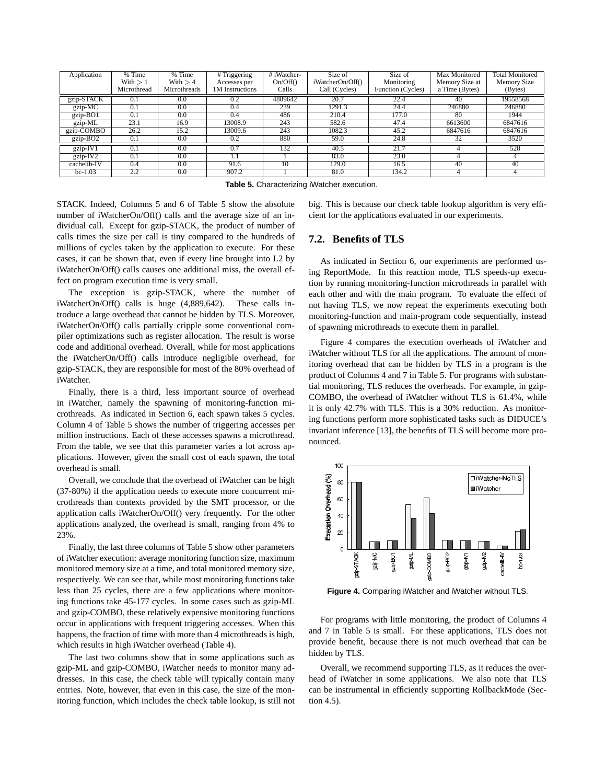| Application            | % Time<br>With $>1$<br>Microthread | % Time<br>With $> 4$<br>Microthreads | $\overline{\text{F}}$ Triggering<br>Accesses per<br>1M Instructions | $\#$ iWatcher-<br>On/Off()<br>Calls | Size of<br>iWatcherOn/Off()<br>Call (Cycles) | Size of<br>Monitoring<br>Function (Cycles) | Max Monitored<br>Memory Size at<br>a Time (Bytes) | Total Monitored<br>Memory Size<br>(Bytes) |
|------------------------|------------------------------------|--------------------------------------|---------------------------------------------------------------------|-------------------------------------|----------------------------------------------|--------------------------------------------|---------------------------------------------------|-------------------------------------------|
| gzip-STACK             | 0.1                                | 0.0                                  | 0.2                                                                 | 4889642                             | 20.                                          | 22.4                                       | 40                                                | 19558568                                  |
| gzip-MC                | 0.1                                | 0.0                                  | 0.4                                                                 | 239                                 | 1291.3                                       | 24.4                                       | 246880                                            | 246880                                    |
| gzip-BOI               | 0.1                                | 0.0                                  | 0.4                                                                 | 486                                 | 210.4                                        | 177.0                                      | 80                                                | 1944                                      |
| $gzip-ML$              | 23.1                               | 16.9                                 | 13008.9                                                             | 243                                 | 582.6                                        | 47.4                                       | 6613600                                           | 6847616                                   |
| gzip-COMBO             | 26.2                               | 15.2                                 | 13009.6                                                             | 243                                 | 1082.3                                       | 45.2                                       | 6847616                                           | 6847616                                   |
| $g\overline{z}$ ip-BO2 | 0.1                                | 0.0                                  | 0.2                                                                 | 880                                 | 59.0                                         | 24.8                                       | 32                                                | 3520                                      |
| $gzip-IV1$             | 0.1                                | 0.0                                  | 0.7                                                                 | 132                                 | 40.5                                         | 21.7                                       |                                                   | 528                                       |
| gzip-IV2               | 0.1                                | 0.0                                  |                                                                     |                                     | 83.0                                         | 23.0                                       |                                                   |                                           |
| cachelib-IV            | 0.4                                | 0.0                                  | 91.6                                                                |                                     | 129.0                                        | 16.5                                       | 40                                                | 40                                        |
| $bc-1.03$              | 2.2                                | 0.0                                  | 907.2                                                               |                                     | 81.0                                         | 134.2                                      |                                                   |                                           |

**Table 5.** Characterizing iWatcher execution.

STACK. Indeed, Columns 5 and 6 of Table 5 show the absolute number of iWatcherOn/Off() calls and the average size of an individual call. Except for gzip-STACK, the product of number of calls times the size per call is tiny compared to the hundreds of millions of cycles taken by the application to execute. For these cases, it can be shown that, even if every line brought into L2 by iWatcherOn/Off() calls causes one additional miss, the overall effect on program execution time is very small.

The exception is gzip-STACK, where the number of iWatcherOn/Off() calls is huge (4,889,642). These calls introduce a large overhead that cannot be hidden by TLS. Moreover, iWatcherOn/Off() calls partially cripple some conventional compiler optimizations such as register allocation. The result is worse code and additional overhead. Overall, while for most applications the iWatcherOn/Off() calls introduce negligible overhead, for gzip-STACK, they are responsible for most of the 80% overhead of iWatcher.

Finally, there is a third, less important source of overhead in iWatcher, namely the spawning of monitoring-function microthreads. As indicated in Section 6, each spawn takes 5 cycles. Column 4 of Table 5 shows the number of triggering accesses per million instructions. Each of these accesses spawns a microthread. From the table, we see that this parameter varies a lot across applications. However, given the small cost of each spawn, the total overhead is small.

Overall, we conclude that the overhead of iWatcher can be high (37-80%) if the application needs to execute more concurrent microthreads than contexts provided by the SMT processor, or the application calls iWatcherOn/Off() very frequently. For the other applications analyzed, the overhead is small, ranging from 4% to 23%.

Finally, the last three columns of Table 5 show other parameters of iWatcher execution: average monitoring function size, maximum monitored memory size at a time, and total monitored memory size, respectively. We can see that, while most monitoring functions take less than 25 cycles, there are a few applications where monitoring functions take 45-177 cycles. In some cases such as gzip-ML and gzip-COMBO, these relatively expensive monitoring functions occur in applications with frequent triggering accesses. When this happens, the fraction of time with more than 4 microthreads is high, which results in high iWatcher overhead (Table 4).

The last two columns show that in some applications such as gzip-ML and gzip-COMBO, iWatcher needs to monitor many addresses. In this case, the check table will typically contain many entries. Note, however, that even in this case, the size of the monitoring function, which includes the check table lookup, is still not big. This is because our check table lookup algorithm is very efficient for the applications evaluated in our experiments.

### **7.2. Benefits of TLS**

As indicated in Section 6, our experiments are performed using ReportMode. In this reaction mode, TLS speeds-up execution by running monitoring-function microthreads in parallel with each other and with the main program. To evaluate the effect of not having TLS, we now repeat the experiments executing both monitoring-function and main-program code sequentially, instead of spawning microthreads to execute them in parallel.

Figure 4 compares the execution overheads of iWatcher and iWatcher without TLS for all the applications. The amount of monitoring overhead that can be hidden by TLS in a program is the product of Columns 4 and 7 in Table 5. For programs with substantial monitoring, TLS reduces the overheads. For example, in gzip-COMBO, the overhead of iWatcher without TLS is 61.4%, while it is only 42.7% with TLS. This is a 30% reduction. As monitoring functions perform more sophisticated tasks such as DIDUCE's invariant inference [13], the benefits of TLS will become more pronounced.



**Figure 4.** Comparing iWatcher and iWatcher without TLS.

For programs with little monitoring, the product of Columns 4 and 7 in Table 5 is small. For these applications, TLS does not provide benefit, because there is not much overhead that can be hidden by TLS.

Overall, we recommend supporting TLS, as it reduces the overhead of iWatcher in some applications. We also note that TLS can be instrumental in efficiently supporting RollbackMode (Section 4.5).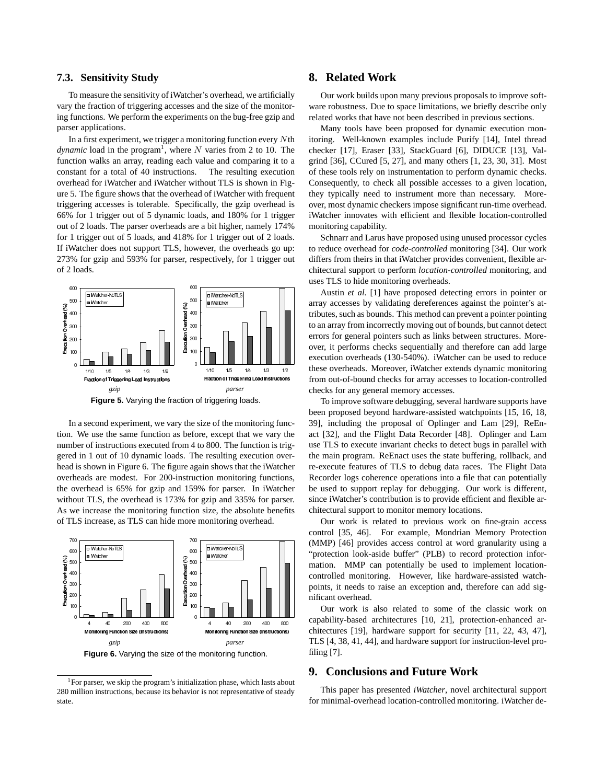#### **7.3. Sensitivity Study**

To measure the sensitivity of iWatcher's overhead, we artificially vary the fraction of triggering accesses and the size of the monitoring functions. We perform the experiments on the bug-free gzip and parser applications.

In a first experiment, we trigger a monitoring function every  $N$ th  $d$ *ynamic* load in the program<sup>1</sup>, where N varies from 2 to 10. The function walks an array, reading each value and comparing it to a constant for a total of 40 instructions. The resulting execution overhead for iWatcher and iWatcher without TLS is shown in Figure 5. The figure shows that the overhead of iWatcher with frequent triggering accesses is tolerable. Specifically, the gzip overhead is 66% for 1 trigger out of 5 dynamic loads, and 180% for 1 trigger out of 2 loads. The parser overheads are a bit higher, namely 174% for 1 trigger out of 5 loads, and 418% for 1 trigger out of 2 loads. If iWatcher does not support TLS, however, the overheads go up: 273% for gzip and 593% for parser, respectively, for 1 trigger out of 2 loads.



**Figure 5.** Varying the fraction of triggering loads.

In a second experiment, we vary the size of the monitoring function. We use the same function as before, except that we vary the number of instructions executed from 4 to 800. The function is triggered in 1 out of 10 dynamic loads. The resulting execution overhead is shown in Figure 6. The figure again shows that the iWatcher overheads are modest. For 200-instruction monitoring functions, the overhead is 65% for gzip and 159% for parser. In iWatcher without TLS, the overhead is 173% for gzip and 335% for parser. As we increase the monitoring function size, the absolute benefits of TLS increase, as TLS can hide more monitoring overhead.



<sup>1</sup>For parser, we skip the program's initialization phase, which lasts about 280 million instructions, because its behavior is not representative of steady state.

# **8. Related Work**

Our work builds upon many previous proposals to improve software robustness. Due to space limitations, we briefly describe only related works that have not been described in previous sections.

Many tools have been proposed for dynamic execution monitoring. Well-known examples include Purify [14], Intel thread checker [17], Eraser [33], StackGuard [6], DIDUCE [13], Valgrind [36], CCured [5, 27], and many others [1, 23, 30, 31]. Most of these tools rely on instrumentation to perform dynamic checks. Consequently, to check all possible accesses to a given location, they typically need to instrument more than necessary. Moreover, most dynamic checkers impose significant run-time overhead. iWatcher innovates with efficient and flexible location-controlled monitoring capability.

Schnarr and Larus have proposed using unused processor cycles to reduce overhead for *code-controlled* monitoring [34]. Our work differs from theirs in that iWatcher provides convenient, flexible architectural support to perform *location-controlled* monitoring, and uses TLS to hide monitoring overheads.

Austin *et al.* [1] have proposed detecting errors in pointer or array accesses by validating dereferences against the pointer's attributes, such as bounds. This method can prevent a pointer pointing to an array from incorrectly moving out of bounds, but cannot detect errors for general pointers such as links between structures. Moreover, it performs checks sequentially and therefore can add large execution overheads (130-540%). iWatcher can be used to reduce these overheads. Moreover, iWatcher extends dynamic monitoring from out-of-bound checks for array accesses to location-controlled checks for any general memory accesses.

To improve software debugging, several hardware supports have been proposed beyond hardware-assisted watchpoints [15, 16, 18, 39], including the proposal of Oplinger and Lam [29], ReEnact [32], and the Flight Data Recorder [48]. Oplinger and Lam use TLS to execute invariant checks to detect bugs in parallel with the main program. ReEnact uses the state buffering, rollback, and re-execute features of TLS to debug data races. The Flight Data Recorder logs coherence operations into a file that can potentially be used to support replay for debugging. Our work is different, since iWatcher's contribution is to provide efficient and flexible architectural support to monitor memory locations.

Our work is related to previous work on fine-grain access control [35, 46]. For example, Mondrian Memory Protection (MMP) [46] provides access control at word granularity using a "protection look-aside buffer" (PLB) to record protection information. MMP can potentially be used to implement locationcontrolled monitoring. However, like hardware-assisted watchpoints, it needs to raise an exception and, therefore can add significant overhead.

Our work is also related to some of the classic work on capability-based architectures [10, 21], protection-enhanced architectures [19], hardware support for security [11, 22, 43, 47], TLS [4, 38, 41, 44], and hardware support for instruction-level profiling [7].

### **9. Conclusions and Future Work**

This paper has presented *iWatcher*, novel architectural support for minimal-overhead location-controlled monitoring. iWatcher de